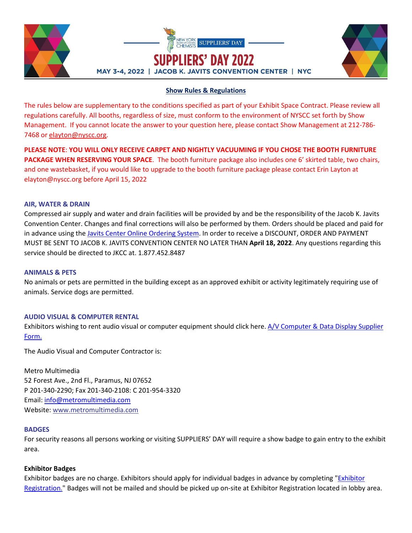



# **Show Rules & Regulations**

The rules below are supplementary to the conditions specified as part of your Exhibit Space Contract. Please review all regulations carefully. All booths, regardless of size, must conform to the environment of NYSCC set forth by Show Management. If you cannot locate the answer to your question here, please contact Show Management at 212-786- 7468 or [elayton@nyscc.org.](mailto:elayton@nyscc.org)

**PLEASE NOTE**: **YOU WILL ONLY RECEIVE CARPET AND NIGHTLY VACUUMING IF YOU CHOSE THE BOOTH FURNITURE PACKAGE WHEN RESERVING YOUR SPACE**. The booth furniture package also includes one 6' skirted table, two chairs, and one wastebasket, if you would like to upgrade to the booth furniture package please contact Erin Layton at elayton@nyscc.org before April 15, 2022

## **AIR, WATER & DRAIN**

Compressed air supply and water and drain facilities will be provided by and be the responsibility of the Jacob K. Javits Convention Center. Changes and final corrections will also be performed by them. Orders should be placed and paid for in advance using the [Javits Center Online Ordering System.](https://nyscc.org/wp-content/uploads/2022/01/Javits-Center-Online-Ordering.pdf) In order to receive a DISCOUNT, ORDER AND PAYMENT MUST BE SENT TO JACOB K. JAVITS CONVENTION CENTER NO LATER THAN **April 18, 2022**. Any questions regarding this service should be directed to JKCC at. 1.877.452.8487

# **ANIMALS & PETS**

No animals or pets are permitted in the building except as an approved exhibit or activity legitimately requiring use of animals. Service dogs are permitted.

# **AUDIO VISUAL & COMPUTER RENTAL**

Exhibitors wishing to rent audio visual or computer equipment should click here. [A/V Computer & Data Display Supplier](https://nyscc.org/wp-content/uploads/2022/01/AV-Order-Form-SD-22.pdf)  [Form.](https://nyscc.org/wp-content/uploads/2022/01/AV-Order-Form-SD-22.pdf) 

The Audio Visual and Computer Contractor is:

Metro Multimedia 52 Forest Ave., 2nd Fl., Paramus, NJ 07652 P 201-340-2290; Fax 201-340-2108: C 201-954-3320 Email: [info@metromultimedia.com](mailto:info@metromultimedia.com) Website: [www.metromultimedia.com](http://www.metromultimedia.com/)

# **BADGES**

For security reasons all persons working or visiting SUPPLIERS' DAY will require a show badge to gain entry to the exhibit area.

# **Exhibitor Badges**

Exhibitor badges are no charge. Exhibitors should apply for individual badges in advance by completing ["Exhibitor](https://www.xpressreg.net/register/NYSC0522/exhibitor/login.asp)  [Registration.](https://www.xpressreg.net/register/NYSC0522/exhibitor/login.asp)" Badges will not be mailed and should be picked up on-site at Exhibitor Registration located in lobby area.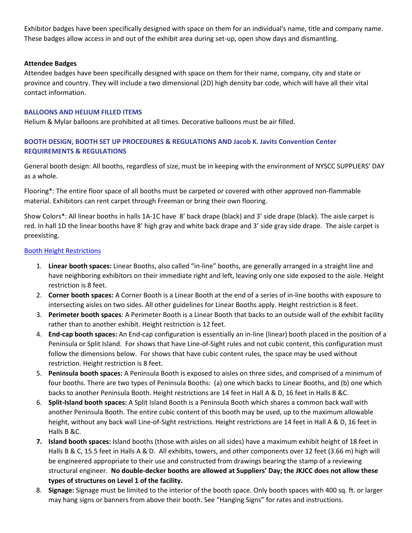Exhibitor badges have been specifically designed with space on them for an individual's name, title and company name. These badges allow access in and out of the exhibit area during set-up, open show days and dismantling.

## **Attendee Badges**

Attendee badges have been specifically designed with space on them for their name, company, city and state or province and country. They will include a two dimensional (2D) high density bar code, which will have all their vital contact information.

## **BALLOONS AND HELIUM FILLED ITEMS**

Helium & Mylar balloons are prohibited at all times. Decorative balloons must be air filled.

# **BOOTH DESIGN, BOOTH SET UP PROCEDURES & REGULATIONS AND Jacob K. Javits Convention Center REQUIREMENTS & REGULATIONS**

General booth design: All booths, regardless of size, must be in keeping with the environment of NYSCC SUPPLIERS' DAY as a whole.

Flooring\*: The entire floor space of all booths must be carpeted or covered with other approved non-flammable material. Exhibitors can rent carpet through Freeman or bring their own flooring.

Show Colors\*: All linear booths in halls 1A-1C have 8' back drape (black) and 3' side drape (black). The aisle carpet is red. In hall 1D the linear booths have 8' high gray and white back drape and 3' side gray side drape. The aisle carpet is preexisting.

## [Booth Height Restrictions](https://nyscc.org/wp-content/uploads/2022/02/SD-2022-Booth-Design-Guidelines.pdf)

- 1. **Linear booth spaces:** Linear Booths, also called "in-line" booths, are generally arranged in a straight line and have neighboring exhibitors on their immediate right and left, leaving only one side exposed to the aisle. Height restriction is 8 feet.
- 2. **Corner booth spaces:** A Corner Booth is a Linear Booth at the end of a series of in-line booths with exposure to intersecting aisles on two sides. All other guidelines for Linear Booths apply. Height restriction is 8 feet.
- 3. **Perimeter booth spaces**: A Perimeter Booth is a Linear Booth that backs to an outside wall of the exhibit facility rather than to another exhibit. Height restriction is 12 feet.
- 4. **End-cap booth spaces:** An End-cap configuration is essentially an in-line (linear) booth placed in the position of a Peninsula or Split Island. For shows that have Line-of-Sight rules and not cubic content, this configuration must follow the dimensions below. For shows that have cubic content rules, the space may be used without restriction. Height restriction is 8 feet.
- 5. **Peninsula booth spaces:** A Peninsula Booth is exposed to aisles on three sides, and comprised of a minimum of four booths. There are two types of Peninsula Booths: (a) one which backs to Linear Booths, and (b) one which backs to another Peninsula Booth. Height restrictions are 14 feet in Hall A & D, 16 feet in Halls B &C.
- 6. **Split-Island booth spaces:** A Split Island Booth is a Peninsula Booth which shares a common back wall with another Peninsula Booth. The entire cubic content of this booth may be used, up to the maximum allowable height, without any back wall Line-of-Sight restrictions. Height restrictions are 14 feet in Hall A & D, 16 feet in Halls B &C.
- **7. Island booth spaces:** Island booths (those with aisles on all sides) have a maximum exhibit height of 18 feet in Halls B & C, 15.5 feet in Halls A & D. All exhibits, towers, and other components over 12 feet (3.66 m) high will be engineered appropriate to their use and constructed from drawings bearing the stamp of a reviewing structural engineer. **No double-decker booths are allowed at Suppliers' Day; the JKJCC does not allow these types of structures on Level 1 of the facility.**
- 8. **Signage:** Signage must be limited to the interior of the booth space. Only booth spaces with 400 sq. ft. or larger may hang signs or banners from above their booth. See "Hanging Signs" for rates and instructions.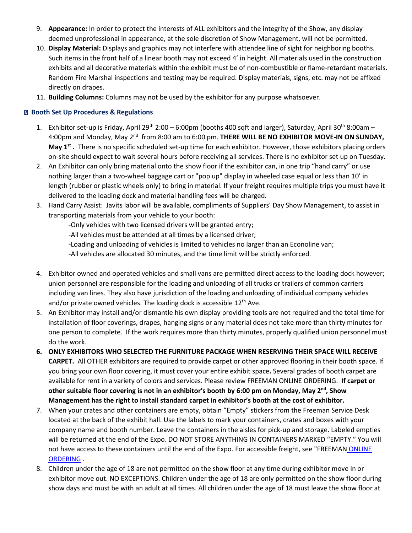- 9. **Appearance:** In order to protect the interests of ALL exhibitors and the integrity of the Show, any display deemed unprofessional in appearance, at the sole discretion of Show Management, will not be permitted.
- 10. **Display Material:** Displays and graphics may not interfere with attendee line of sight for neighboring booths. Such items in the front half of a linear booth may not exceed 4' in height. All materials used in the construction exhibits and all decorative materials within the exhibit must be of non-combustible or flame-retardant materials. Random Fire Marshal inspections and testing may be required. Display materials, signs, etc. may not be affixed directly on drapes.
- 11. **Building Columns:** Columns may not be used by the exhibitor for any purpose whatsoever.

# **Booth Set Up Procedures & Regulations**

- 1. Exhibitor set-up is Friday, April 29<sup>th</sup> 2:00 6:00pm (booths 400 sqft and larger), Saturday, April 30<sup>th</sup> 8:00am 4:00pm and Monday, May 2<sup>nd</sup> from 8:00 am to 6:00 pm. **THERE WILL BE NO EXHIBITOR MOVE-IN ON SUNDAY, May 1st .** There is no specific scheduled set-up time for each exhibitor. However, those exhibitors placing orders on-site should expect to wait several hours before receiving all services. There is no exhibitor set up on Tuesday.
- 2. An Exhibitor can only bring material onto the show floor if the exhibitor can, in one trip "hand carry" or use nothing larger than a two-wheel baggage cart or "pop up" display in wheeled case equal or less than 10' in length (rubber or plastic wheels only) to bring in material. If your freight requires multiple trips you must have it delivered to the loading dock and material handling fees will be charged.
- 3. Hand Carry Assist: Javits labor will be available, compliments of Suppliers' Day Show Management, to assist in transporting materials from your vehicle to your booth:
	- -Only vehicles with two licensed drivers will be granted entry;
	- -All vehicles must be attended at all times by a licensed driver;
	- -Loading and unloading of vehicles is limited to vehicles no larger than an Econoline van;
	- -All vehicles are allocated 30 minutes, and the time limit will be strictly enforced.
- 4. Exhibitor owned and operated vehicles and small vans are permitted direct access to the loading dock however; union personnel are responsible for the loading and unloading of all trucks or trailers of common carriers including van lines. They also have jurisdiction of the loading and unloading of individual company vehicles and/or private owned vehicles. The loading dock is accessible  $12<sup>th</sup>$  Ave.
- 5. An Exhibitor may install and/or dismantle his own display providing tools are not required and the total time for installation of floor coverings, drapes, hanging signs or any material does not take more than thirty minutes for one person to complete. If the work requires more than thirty minutes, properly qualified union personnel must do the work.
- **6. ONLY EXHIBITORS WHO SELECTED THE FURNITURE PACKAGE WHEN RESERVING THEIR SPACE WILL RECEIVE CARPET.** All OTHER exhibitors are required to provide carpet or other approved flooring in their booth space. If you bring your own floor covering, it must cover your entire exhibit space**.** Several grades of booth carpet are available for rent in a variety of colors and services. Please review FREEMAN ONLINE ORDERING. **If carpet or other suitable floor covering is not in an exhibitor's booth by 6:00 pm on Monday, May 2nd, Show Management has the right to install standard carpet in exhibitor's booth at the cost of exhibitor.**
- 7. When your crates and other containers are empty, obtain "Empty" stickers from the Freeman Service Desk located at the back of the exhibit hall. Use the labels to mark your containers, crates and boxes with your company name and booth number. Leave the containers in the aisles for pick-up and storage. Labeled empties will be returned at the end of the Expo. DO NOT STORE ANYTHING IN CONTAINERS MARKED "EMPTY." You will not have access to these containers until the end of the Expo. For accessible freight, see "FREEMAN [ONLINE](https://www.freemanco.com/store/show/landing?referer=s&nav=02&showID=511874) ORDERING .
- 8. Children under the age of 18 are not permitted on the show floor at any time during exhibitor move in or exhibitor move out. NO EXCEPTIONS. Children under the age of 18 are only permitted on the show floor during show days and must be with an adult at all times. All children under the age of 18 must leave the show floor at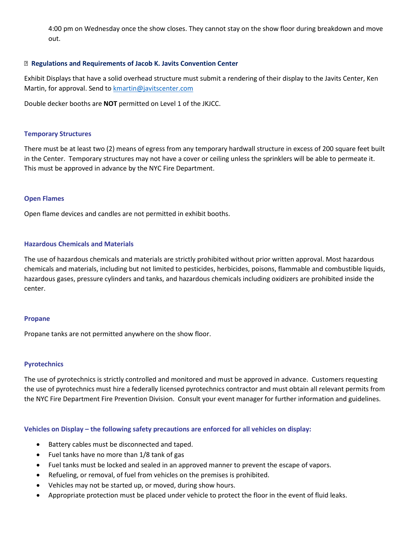4:00 pm on Wednesday once the show closes. They cannot stay on the show floor during breakdown and move out.

## **Regulations and Requirements of Jacob K. Javits Convention Center**

Exhibit Displays that have a solid overhead structure must submit a rendering of their display to the Javits Center, Ken Martin, for approval. Send to **kmartin@javitscenter.com** 

Double decker booths are **NOT** permitted on Level 1 of the JKJCC.

## **Temporary Structures**

There must be at least two (2) means of egress from any temporary hardwall structure in excess of 200 square feet built in the Center. Temporary structures may not have a cover or ceiling unless the sprinklers will be able to permeate it. This must be approved in advance by the NYC Fire Department.

## **Open Flames**

Open flame devices and candles are not permitted in exhibit booths.

# **Hazardous Chemicals and Materials**

The use of hazardous chemicals and materials are strictly prohibited without prior written approval. Most hazardous chemicals and materials, including but not limited to pesticides, herbicides, poisons, flammable and combustible liquids, hazardous gases, pressure cylinders and tanks, and hazardous chemicals including oxidizers are prohibited inside the center.

#### **Propane**

Propane tanks are not permitted anywhere on the show floor.

# **Pyrotechnics**

The use of pyrotechnics is strictly controlled and monitored and must be approved in advance. Customers requesting the use of pyrotechnics must hire a federally licensed pyrotechnics contractor and must obtain all relevant permits from the NYC Fire Department Fire Prevention Division. Consult your event manager for further information and guidelines.

**Vehicles on Display – the following safety precautions are enforced for all vehicles on display:**

- Battery cables must be disconnected and taped.
- Fuel tanks have no more than 1/8 tank of gas
- Fuel tanks must be locked and sealed in an approved manner to prevent the escape of vapors.
- Refueling, or removal, of fuel from vehicles on the premises is prohibited.
- Vehicles may not be started up, or moved, during show hours.
- Appropriate protection must be placed under vehicle to protect the floor in the event of fluid leaks.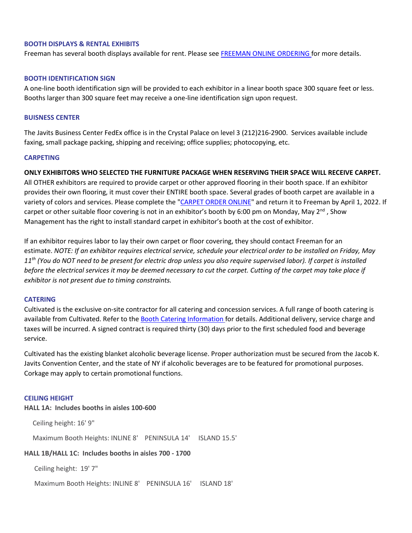### **BOOTH DISPLAYS & RENTAL EXHIBITS**

Freeman has several booth displays available for rent. Please see [FREEMAN ONLINE ORDERING](https://www.freemanco.com/store/show/landing?referer=s&nav=02&showID=511874) for more details.

### **BOOTH IDENTIFICATION SIGN**

A one-line booth identification sign will be provided to each exhibitor in a linear booth space 300 square feet or less. Booths larger than 300 square feet may receive a one-line identification sign upon request.

#### **BUISNESS CENTER**

The Javits Business Center FedEx office is in the Crystal Palace on level 3 (212)216-2900. Services available include faxing, small package packing, shipping and receiving; office supplies; photocopying, etc.

#### **CARPETING**

**ONLY EXHIBITORS WHO SELECTED THE FURNITURE PACKAGE WHEN RESERVING THEIR SPACE WILL RECEIVE CARPET.**  All OTHER exhibitors are required to provide carpet or other approved flooring in their booth space. If an exhibitor provides their own flooring, it must cover their ENTIRE booth space. Several grades of booth carpet are available in a variety of colors and services. Please complete the ["CARPET ORDER ONLINE"](https://www.freemanco.com/store/show/landing?referer=s&nav=02&showID=511874) and return it to Freeman by April 1, 2022. If

carpet or other suitable floor covering is not in an exhibitor's booth by 6:00 pm on Monday, May 2<sup>nd</sup>, Show Management has the right to install standard carpet in exhibitor's booth at the cost of exhibitor.

If an exhibitor requires labor to lay their own carpet or floor covering, they should contact Freeman for an estimate. *NOTE: If an exhibitor requires electrical service, schedule your electrical order to be installed on Friday, May 11th (You do NOT need to be present for electric drop unless you also require supervised labor). If carpet is installed before the electrical services it may be deemed necessary to cut the carpet. Cutting of the carpet may take place if exhibitor is not present due to timing constraints.*

### **CATERING**

Cultivated is the exclusive on-site contractor for all catering and concession services. A full range of booth catering is available from Cultivated. Refer to the [Booth Catering Information](https://preorder.tapin2.co/294) for details. Additional delivery, service charge and taxes will be incurred. A signed contract is required thirty (30) days prior to the first scheduled food and beverage service.

Cultivated has the existing blanket alcoholic beverage license. Proper authorization must be secured from the Jacob K. Javits Convention Center, and the state of NY if alcoholic beverages are to be featured for promotional purposes. Corkage may apply to certain promotional functions.

#### **CEILING HEIGHT**

**HALL 1A: Includes booths in aisles 100-600**

Ceiling height: 16' 9"

Maximum Booth Heights: INLINE 8' PENINSULA 14' ISLAND 15.5'

# **HALL 1B/HALL 1C: Includes booths in aisles 700 - 1700**

Ceiling height: 19' 7"

Maximum Booth Heights: INLINE 8' PENINSULA 16' ISLAND 18'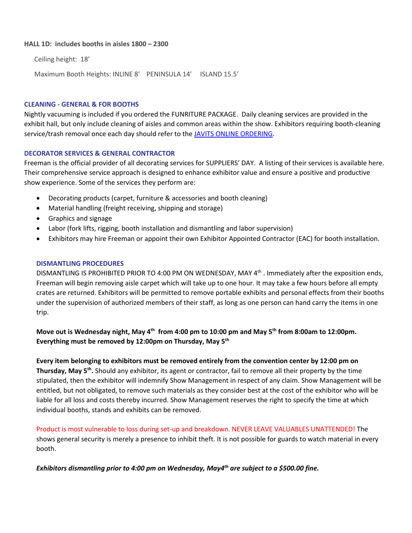## **HALL 1D: includes booths in aisles 1800 – 2300**

Ceiling height: 18'

Maximum Booth Heights: INLINE 8' PENINSULA 14' ISLAND 15.5'

#### **CLEANING - GENERAL & FOR BOOTHS**

Nightly vacuuming is included if you ordered the FUNRITURE PACKAGE. Daily cleaning services are provided in the exhibit hall, but only include cleaning of aisles and common areas within the show. Exhibitors requiring booth-cleaning service/trash removal once each day should refer to th[e JAVITS ONLINE ORDERING.](https://nyscc.org/wp-content/uploads/2022/01/Javits-Center-Online-Ordering.pdf)

#### **DECORATOR SERVICES & GENERAL CONTRACTOR**

Freeman is the official provider of all decorating services for SUPPLIERS' DAY. A listing of their services is available here. Their comprehensive service approach is designed to enhance exhibitor value and ensure a positive and productive show experience. Some of the services they perform are:

- Decorating products (carpet, furniture & accessories and booth cleaning)
- Material handling (freight receiving, shipping and storage)
- Graphics and signage
- Labor (fork lifts, rigging, booth installation and dismantling and labor supervision)
- Exhibitors may hire Freeman or appoint their own Exhibitor Appointed Contractor (EAC) for booth installation.

#### **DISMANTLING PROCEDURES**

DISMANTLING IS PROHIBITED PRIOR TO 4:00 PM ON WEDNESDAY, MAY 4<sup>th</sup> . Immediately after the exposition ends, Freeman will begin removing aisle carpet which will take up to one hour. It may take a few hours before all empty crates are returned. Exhibitors will be permitted to remove portable exhibits and personal effects from their booths under the supervision of authorized members of their staff, as long as one person can hand carry the items in one trip.

**Move out is Wednesday night, May 4th from 4:00 pm to 10:00 pm and May 5th from 8:00am to 12:00pm. Everything must be removed by 12:00pm on Thursday, May 5th**

#### **Every item belonging to exhibitors must be removed entirely from the convention center by 12:00 pm on**

**Thursday, May 5th.** Should any exhibitor, its agent or contractor, fail to remove all their property by the time stipulated, then the exhibitor will indemnify Show Management in respect of any claim. Show Management will be entitled, but not obligated, to remove such materials as they consider best at the cost of the exhibitor who will be liable for all loss and costs thereby incurred. Show Management reserves the right to specify the time at which individual booths, stands and exhibits can be removed.

Product is most vulnerable to loss during set-up and breakdown. NEVER LEAVE VALUABLES UNATTENDED! The shows general security is merely a presence to inhibit theft. It is not possible for guards to watch material in every booth.

*Exhibitors dismantling prior to 4:00 pm on Wednesday, May4th are subject to a \$500.00 fine.*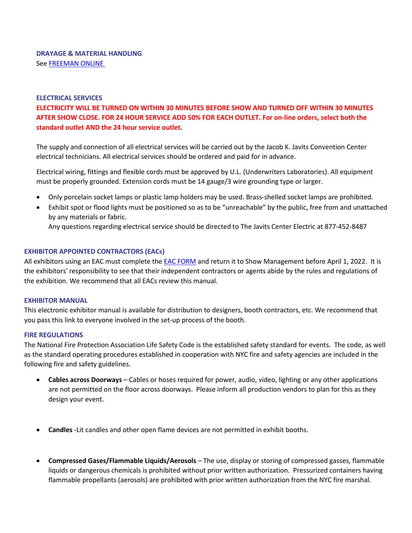# **ELECTRICAL SERVICES**

**ELECTRICITY WILL BE TURNED ON WITHIN 30 MINUTES BEFORE SHOW AND TURNED OFF WITHIN 30 MINUTES AFTER SHOW CLOSE. FOR 24 HOUR SERVICE ADD 50% FOR EACH OUTLET. For on-line orders, select both the standard outlet AND the 24 hour service outlet.**

The supply and connection of all electrical services will be carried out by the Jacob K. Javits Convention Center electrical technicians. All electrical services should be ordered and paid for in advance.

Electrical wiring, fittings and flexible cords must be approved by U.L. (Underwriters Laboratories). All equipment must be properly grounded. Extension cords must be 14 gauge/3 wire grounding type or larger.

- Only porcelain socket lamps or plastic lamp holders may be used. Brass-shelled socket lamps are prohibited.
- Exhibit spot or flood lights must be positioned so as to be "unreachable" by the public, free from and unattached by any materials or fabric.

Any questions regarding electrical service should be directed to The Javits Center Electric at 877-452-8487

# **EXHIBITOR APPOINTED CONTRACTORS (EACs)**

All exhibitors using an EAC must complete the **EAC FORM** and return it to Show Management before April 1, 2022. It is the exhibitors' responsibility to see that their independent contractors or agents abide by the rules and regulations of the exhibition. We recommend that all EACs review this manual.

# **EXHIBITOR MANUAL**

This electronic exhibitor manual is available for distribution to designers, booth contractors, etc. We recommend that you pass this link to everyone involved in the set-up process of the booth.

# **FIRE REGULATIONS**

The National Fire Protection Association Life Safety Code is the established safety standard for events. The code, as well as the standard operating procedures established in cooperation with NYC fire and safety agencies are included in the following fire and safety guidelines.

- **Cables across Doorways** Cables or hoses required for power, audio, video, lighting or any other applications are not permitted on the floor across doorways. Please inform all production vendors to plan for this as they design your event.
- **Candles** -Lit candles and other open flame devices are not permitted in exhibit booths.
- **Compressed Gases/Flammable Liquids/Aerosols** The use, display or storing of compressed gasses, flammable liquids or dangerous chemicals is prohibited without prior written authorization. Pressurized containers having flammable propellants (aerosols) are prohibited with prior written authorization from the NYC fire marshal.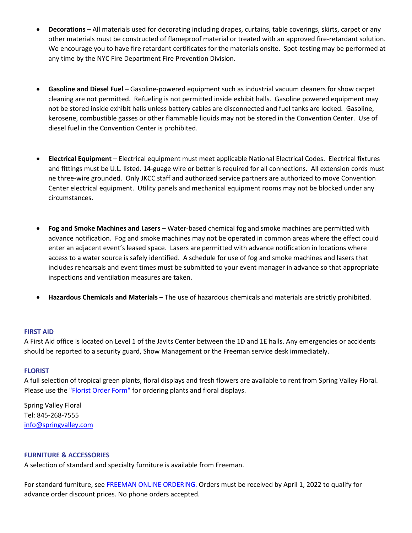- **Decorations** All materials used for decorating including drapes, curtains, table coverings, skirts, carpet or any other materials must be constructed of flameproof material or treated with an approved fire-retardant solution. We encourage you to have fire retardant certificates for the materials onsite. Spot-testing may be performed at any time by the NYC Fire Department Fire Prevention Division.
- **Gasoline and Diesel Fuel** Gasoline-powered equipment such as industrial vacuum cleaners for show carpet cleaning are not permitted. Refueling is not permitted inside exhibit halls. Gasoline powered equipment may not be stored inside exhibit halls unless battery cables are disconnected and fuel tanks are locked. Gasoline, kerosene, combustible gasses or other flammable liquids may not be stored in the Convention Center. Use of diesel fuel in the Convention Center is prohibited.
- **Electrical Equipment** Electrical equipment must meet applicable National Electrical Codes. Electrical fixtures and fittings must be U.L. listed. 14-guage wire or better is required for all connections. All extension cords must ne three-wire grounded. Only JKCC staff and authorized service partners are authorized to move Convention Center electrical equipment. Utility panels and mechanical equipment rooms may not be blocked under any circumstances.
- **Fog and Smoke Machines and Lasers**  Water-based chemical fog and smoke machines are permitted with advance notification. Fog and smoke machines may not be operated in common areas where the effect could enter an adjacent event's leased space. Lasers are permitted with advance notification in locations where access to a water source is safely identified. A schedule for use of fog and smoke machines and lasers that includes rehearsals and event times must be submitted to your event manager in advance so that appropriate inspections and ventilation measures are taken.
- **Hazardous Chemicals and Materials** The use of hazardous chemicals and materials are strictly prohibited.

#### **FIRST AID**

A First Aid office is located on Level 1 of the Javits Center between the 1D and 1E halls. Any emergencies or accidents should be reported to a security guard, Show Management or the Freeman service desk immediately.

#### **FLORIST**

A full selection of tropical green plants, floral displays and fresh flowers are available to rent from Spring Valley Floral. Please use th[e "Florist Order Form"](https://nyscc.org/wp-content/uploads/2022/01/Floral-Order-Form-SD-22.pdf) for ordering plants and floral displays.

Spring Valley Floral Tel: 845-268-7555 [info@springvalley.com](mailto:info@springvalley.com)

## **FURNITURE & ACCESSORIES**

A selection of standard and specialty furniture is available from Freeman.

For standard furniture, see [FREEMAN ONLINE ORDERING.](https://www.freemanco.com/store/show/landing?referer=s&nav=02&showID=511874) Orders must be received by April 1, 2022 to qualify for advance order discount prices. No phone orders accepted.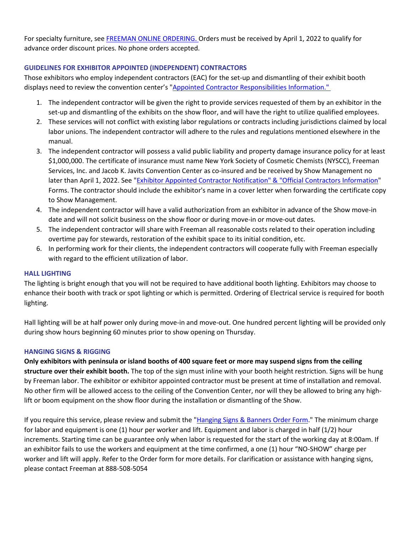For specialty furniture, see [FREEMAN ONLINE ORDERING.](https://www.freemanco.com/store/show/landing?referer=s&nav=02&showID=511874) Orders must be received by April 1, 2022 to qualify for advance order discount prices. No phone orders accepted.

# **GUIDELINES FOR EXHIBITOR APPOINTED (INDEPENDENT) CONTRACTORS**

Those exhibitors who employ independent contractors (EAC) for the set-up and dismantling of their exhibit booth displays need to review the convention center's ["Appointed Contractor Responsibilities Information."](https://www.javitscenter.com/plan/policies/)

- 1. The independent contractor will be given the right to provide services requested of them by an exhibitor in the set-up and dismantling of the exhibits on the show floor, and will have the right to utilize qualified employees.
- 2. These services will not conflict with existing labor regulations or contracts including jurisdictions claimed by local labor unions. The independent contractor will adhere to the rules and regulations mentioned elsewhere in the manual.
- 3. The independent contractor will possess a valid public liability and property damage insurance policy for at least \$1,000,000. The certificate of insurance must name New York Society of Cosmetic Chemists (NYSCC), Freeman Services, Inc. and Jacob K. Javits Convention Center as co-insured and be received by Show Management no later than April 1, 2022. See ["Exhibitor Appointed Contractor Notification" & "Official Contractors Information"](https://nyscc.org/suppliers-day/exhibit/exhibitor-appointed-contractor-form/) Forms. The contractor should include the exhibitor's name in a cover letter when forwarding the certificate copy to Show Management.
- 4. The independent contractor will have a valid authorization from an exhibitor in advance of the Show move-in date and will not solicit business on the show floor or during move-in or move-out dates.
- 5. The independent contractor will share with Freeman all reasonable costs related to their operation including overtime pay for stewards, restoration of the exhibit space to its initial condition, etc.
- 6. In performing work for their clients, the independent contractors will cooperate fully with Freeman especially with regard to the efficient utilization of labor.

# **HALL LIGHTING**

The lighting is bright enough that you will not be required to have additional booth lighting. Exhibitors may choose to enhance their booth with track or spot lighting or which is permitted. Ordering of Electrical service is required for booth lighting.

Hall lighting will be at half power only during move-in and move-out. One hundred percent lighting will be provided only during show hours beginning 60 minutes prior to show opening on Thursday.

# **HANGING SIGNS & RIGGING**

**Only exhibitors with peninsula or island booths of 400 square feet or more may suspend signs from the ceiling structure over their exhibit booth.** The top of the sign must inline with your booth height restriction. Signs will be hung by Freeman labor. The exhibitor or exhibitor appointed contractor must be present at time of installation and removal. No other firm will be allowed access to the ceiling of the Convention Center, nor will they be allowed to bring any highlift or boom equipment on the show floor during the installation or dismantling of the Show.

If you require this service, please review and submit the ["Hanging Signs & Banners Order Form.](https://www.freemanco.com/store/show/landing?referer=s&nav=02&showID=511874)" The minimum charge for labor and equipment is one (1) hour per worker and lift. Equipment and labor is charged in half (1/2) hour increments. Starting time can be guarantee only when labor is requested for the start of the working day at 8:00am. If an exhibitor fails to use the workers and equipment at the time confirmed, a one (1) hour "NO-SHOW" charge per worker and lift will apply. Refer to the Order form for more details. For clarification or assistance with hanging signs, please contact Freeman at 888-508-5054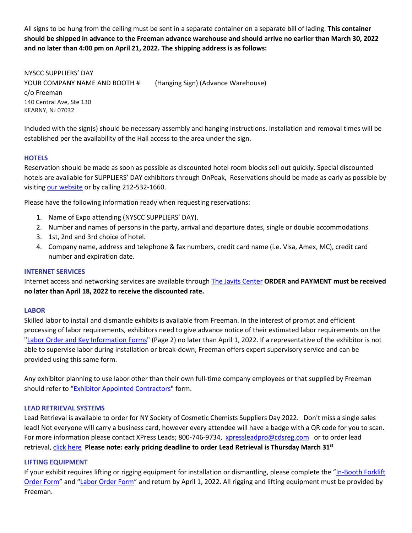All signs to be hung from the ceiling must be sent in a separate container on a separate bill of lading. **This container should be shipped in advance to the Freeman advance warehouse and should arrive no earlier than March 30, 2022 and no later than 4:00 pm on April 21, 2022. The shipping address is as follows:**

NYSCC SUPPLIERS' DAY YOUR COMPANY NAME AND BOOTH # (Hanging Sign) (Advance Warehouse) c/o Freeman 140 Central Ave, Ste 130 KEARNY, NJ 07032

Included with the sign(s) should be necessary assembly and hanging instructions. Installation and removal times will be established per the availability of the Hall access to the area under the sign.

## **HOTELS**

Reservation should be made as soon as possible as discounted hotel room blocks sell out quickly. Special discounted hotels are available for SUPPLIERS' DAY exhibitors through OnPeak, Reservations should be made as early as possible by visiting [our](http://www.onpeak.com/) [website](https://nyscc.org/suppliers-day/attend/hotel-information/) or by calling 212-532-1660.

Please have the following information ready when requesting reservations:

- 1. Name of Expo attending (NYSCC SUPPLIERS' DAY).
- 2. Number and names of persons in the party, arrival and departure dates, single or double accommodations.
- 3. 1st, 2nd and 3rd choice of hotel.
- 4. Company name, address and telephone & fax numbers, credit card name (i.e. Visa, Amex, MC), credit card number and expiration date.

#### **INTERNET SERVICES**

Internet access and networking services are available through [The Javits Center](https://nyscc.org/wp-content/uploads/2022/01/Javits-Center-Online-Ordering.pdf) **ORDER and PAYMENT must be received no later than April 18, 2022 to receive the discounted rate.**

#### **LABOR**

Skilled labor to install and dismantle exhibits is available from Freeman. In the interest of prompt and efficient processing of labor requirements, exhibitors need to give advance notice of their estimated labor requirements on the ["Labor Order and Key Information Forms"](https://www.freemanco.com/store/show/landing?referer=s&nav=02&showID=511874) (Page 2) no later than April 1, 2022. If a representative of the exhibitor is not able to supervise labor during installation or break-down, Freeman offers expert supervisory service and can be provided using this same form.

Any exhibitor planning to use labor other than their own full-time company employees or that supplied by Freeman should refer to ["Exhibitor Appointed Contractors"](https://nyscc.org/suppliers-day/exhibit/exhibitor-appointed-contractor-form/) form.

#### **LEAD RETRIEVAL SYSTEMS**

Lead Retrieval is available to order for NY Society of Cosmetic Chemists Suppliers Day 2022. Don't miss a single sales lead! Not everyone will carry a business card, however every attendee will have a badge with a QR code for you to scan. For more information please contact XPress Leads; 800-746-9734, [xpressleadpro@cdsreg.com](mailto:xpressleadpro@cdsreg.com) or to order lead retrieval, [click here](https://xpressleadpro.com/fe2/expick.php?showcode=NYSC0522) **Please note: early pricing deadline to order Lead Retrieval is Thursday March 31st**

#### **LIFTING EQUIPMENT**

If your exhibit requires lifting or rigging equipment for installation or dismantling, please complete the ["In-Booth Forklift](https://www.freemanco.com/store/show/landing?referer=s&nav=02&showID=511874)  [Order Form"](https://www.freemanco.com/store/show/landing?referer=s&nav=02&showID=511874) and ["Labor Order Form"](https://www.freemanco.com/store/show/landing?referer=s&nav=02&showID=511874) and return by April 1, 2022. All rigging and lifting equipment must be provided by Freeman.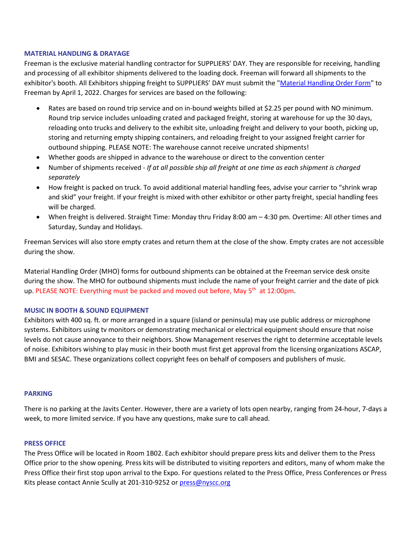## **MATERIAL HANDLING & DRAYAGE**

Freeman is the exclusive material handling contractor for SUPPLIERS' DAY. They are responsible for receiving, handling and processing of all exhibitor shipments delivered to the loading dock. Freeman will forward all shipments to the exhibitor's booth. All Exhibitors shipping freight to SUPPLIERS' DAY must submit the ["Material Handling Order Form"](https://www.freemanco.com/store/show/landing?referer=s&nav=02&showID=511874) to Freeman by April 1, 2022. Charges for services are based on the following:

- Rates are based on round trip service and on in-bound weights billed at \$2.25 per pound with NO minimum. Round trip service includes unloading crated and packaged freight, storing at warehouse for up the 30 days, reloading onto trucks and delivery to the exhibit site, unloading freight and delivery to your booth, picking up, storing and returning empty shipping containers, and reloading freight to your assigned freight carrier for outbound shipping. PLEASE NOTE: The warehouse cannot receive uncrated shipments!
- Whether goods are shipped in advance to the warehouse or direct to the convention center
- Number of shipments received *If at all possible ship all freight at one time as each shipment is charged separately*
- How freight is packed on truck. To avoid additional material handling fees, advise your carrier to "shrink wrap and skid" your freight. If your freight is mixed with other exhibitor or other party freight, special handling fees will be charged.
- When freight is delivered. Straight Time: Monday thru Friday 8:00 am 4:30 pm. Overtime: All other times and Saturday, Sunday and Holidays.

Freeman Services will also store empty crates and return them at the close of the show. Empty crates are not accessible during the show.

Material Handling Order (MHO) forms for outbound shipments can be obtained at the Freeman service desk onsite during the show. The MHO for outbound shipments must include the name of your freight carrier and the date of pick up. PLEASE NOTE: Everything must be packed and moved out before, May  $5<sup>th</sup>$  at 12:00pm.

#### **MUSIC IN BOOTH & SOUND EQUIPMENT**

Exhibitors with 400 sq. ft. or more arranged in a square (island or peninsula) may use public address or microphone systems. Exhibitors using tv monitors or demonstrating mechanical or electrical equipment should ensure that noise levels do not cause annoyance to their neighbors. Show Management reserves the right to determine acceptable levels of noise. Exhibitors wishing to play music in their booth must first get approval from the licensing organizations ASCAP, BMI and SESAC. These organizations collect copyright fees on behalf of composers and publishers of music.

#### **PARKING**

There is no parking at the Javits Center. However, there are a variety of lots open nearby, ranging from 24-hour, 7-days a week, to more limited service. If you have any questions, make sure to call ahead.

#### **PRESS OFFICE**

The Press Office will be located in Room 1B02. Each exhibitor should prepare press kits and deliver them to the Press Office prior to the show opening. Press kits will be distributed to visiting reporters and editors, many of whom make the Press Office their first stop upon arrival to the Expo. For questions related to the Press Office, Press Conferences or Press Kits please contact Annie Scully at 201-310-9252 or [press@nyscc.org](mailto:press@nyscc.org)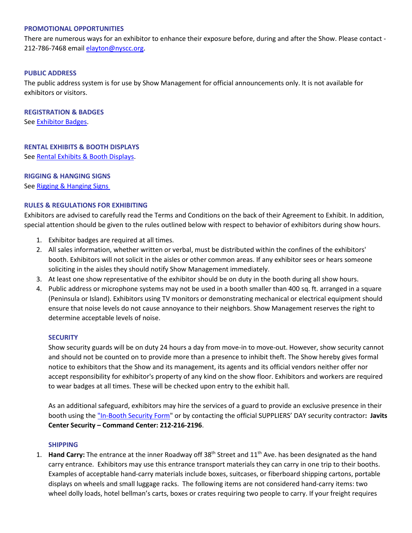### **PROMOTIONAL OPPORTUNITIES**

There are numerous ways for an exhibitor to enhance their exposure before, during and after the Show. Please contact - 212-786-7468 email [elayton@nyscc.org.](mailto:elayton@nyscc.org)

## **PUBLIC ADDRESS**

The public address system is for use by Show Management for official announcements only. It is not available for exhibitors or visitors.

**REGISTRATION & BADGES** See [Exhibitor Badges.](https://www.xpressreg.net/register/NYSC0522/exhibitor/login.asp)

#### **RENTAL EXHIBITS & BOOTH DISPLAYS**

See [Rental Exhibits & Booth Displays.](https://www.freemanco.com/store/show/landing?referer=s&nav=02&showID=511874)

# **RIGGING & HANGING SIGNS** See [Rigging & Hanging Signs](https://www.freemanco.com/store/show/landing?referer=s&nav=02&showID=511874)

# **RULES & REGULATIONS FOR EXHIBITING**

Exhibitors are advised to carefully read the Terms and Conditions on the back of their Agreement to Exhibit. In addition, special attention should be given to the rules outlined below with respect to behavior of exhibitors during show hours.

- 1. Exhibitor badges are required at all times.
- 2. All sales information, whether written or verbal, must be distributed within the confines of the exhibitors' booth. Exhibitors will not solicit in the aisles or other common areas. If any exhibitor sees or hears someone soliciting in the aisles they should notify Show Management immediately.
- 3. At least one show representative of the exhibitor should be on duty in the booth during all show hours.
- 4. Public address or microphone systems may not be used in a booth smaller than 400 sq. ft. arranged in a square (Peninsula or Island). Exhibitors using TV monitors or demonstrating mechanical or electrical equipment should ensure that noise levels do not cause annoyance to their neighbors. Show Management reserves the right to determine acceptable levels of noise.

#### **SECURITY**

Show security guards will be on duty 24 hours a day from move-in to move-out. However, show security cannot and should not be counted on to provide more than a presence to inhibit theft. The Show hereby gives formal notice to exhibitors that the Show and its management, its agents and its official vendors neither offer nor accept responsibility for exhibitor's property of any kind on the show floor. Exhibitors and workers are required to wear badges at all times. These will be checked upon entry to the exhibit hall.

As an additional safeguard, exhibitors may hire the services of a guard to provide an exclusive presence in their booth using the ["In-Booth Security Form"](https://nyscc.org/wp-content/uploads/2022/01/Javits-Center-Online-Ordering.pdf) or by contacting the official SUPPLIERS' DAY security contractor**: Javits Center Security – Command Center: 212-216-2196**.

#### **SHIPPING**

1. **Hand Carry:** The entrance at the inner Roadway off 38th Street and 11th Ave. has been designated as the hand carry entrance. Exhibitors may use this entrance transport materials they can carry in one trip to their booths. Examples of acceptable hand-carry materials include boxes, suitcases, or fiberboard shipping cartons, portable displays on wheels and small luggage racks. The following items are not considered hand-carry items: two wheel dolly loads, hotel bellman's carts, boxes or crates requiring two people to carry. If your freight requires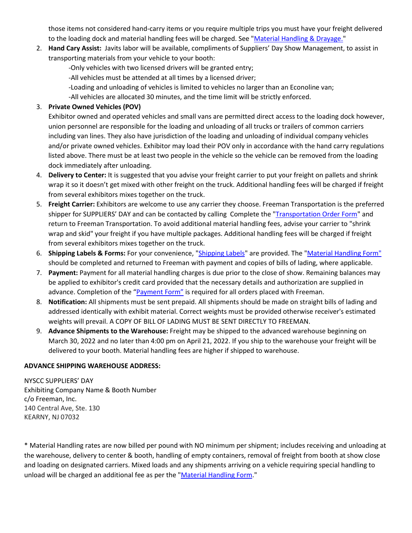those items not considered hand-carry items or you require multiple trips you must have your freight delivered to the loading dock and material handling fees will be charged. See ["Material Handling & Drayage."](https://www.freemanco.com/store/show/landing?referer=s&nav=02&showID=511874)

- 2. **Hand Cary Assist:** Javits labor will be available, compliments of Suppliers' Day Show Management, to assist in transporting materials from your vehicle to your booth:
	- -Only vehicles with two licensed drivers will be granted entry;
	- -All vehicles must be attended at all times by a licensed driver;
	- -Loading and unloading of vehicles is limited to vehicles no larger than an Econoline van;
	- -All vehicles are allocated 30 minutes, and the time limit will be strictly enforced.

# 3. **Private Owned Vehicles (POV)**

Exhibitor owned and operated vehicles and small vans are permitted direct access to the loading dock however, union personnel are responsible for the loading and unloading of all trucks or trailers of common carriers including van lines. They also have jurisdiction of the loading and unloading of individual company vehicles and/or private owned vehicles. Exhibitor may load their POV only in accordance with the hand carry regulations listed above. There must be at least two people in the vehicle so the vehicle can be removed from the loading dock immediately after unloading.

- 4. **Delivery to Center:** It is suggested that you advise your freight carrier to put your freight on pallets and shrink wrap it so it doesn't get mixed with other freight on the truck. Additional handling fees will be charged if freight from several exhibitors mixes together on the truck.
- 5. **Freight Carrier:** Exhibitors are welcome to use any carrier they choose. Freeman Transportation is the preferred shipper for SUPPLIERS' DAY and can be contacted by calling Complete the ["Transportation Order Form"](https://www.freemanco.com/store/show/landing?referer=s&nav=02&showID=511874) and return to Freeman Transportation. To avoid additional material handling fees, advise your carrier to "shrink wrap and skid" your freight if you have multiple packages. Additional handling fees will be charged if freight from several exhibitors mixes together on the truck.
- 6. **Shipping Labels & Forms:** For your convenience, ["Shipping Labels"](https://www.freemanco.com/store/show/landing?referer=s&nav=02&showID=511874) are provided. The ["Material Handling Form"](https://www.freemanco.com/store/show/landing?referer=s&nav=02&showID=511874) should be completed and returned to Freeman with payment and copies of bills of lading, where applicable.
- 7. **Payment:** Payment for all material handling charges is due prior to the close of show. Remaining balances may be applied to exhibitor's credit card provided that the necessary details and authorization are supplied in advance. Completion of the ["Payment Form"](https://www.freemanco.com/store/show/landing?referer=s&nav=02&showID=511874) is required for all orders placed with Freeman.
- 8. **Notification:** All shipments must be sent prepaid. All shipments should be made on straight bills of lading and addressed identically with exhibit material. Correct weights must be provided otherwise receiver's estimated weights will prevail. A COPY OF BILL OF LADING MUST BE SENT DIRECTLY TO FREEMAN.
- 9. **Advance Shipments to the Warehouse:** Freight may be shipped to the advanced warehouse beginning on March 30, 2022 and no later than 4:00 pm on April 21, 2022. If you ship to the warehouse your freight will be delivered to your booth. Material handling fees are higher if shipped to warehouse.

# **ADVANCE SHIPPING WAREHOUSE ADDRESS:**

NYSCC SUPPLIERS' DAY Exhibiting Company Name & Booth Number c/o Freeman, Inc. 140 Central Ave, Ste. 130 KEARNY, NJ 07032

\* Material Handling rates are now billed per pound with NO minimum per shipment; includes receiving and unloading at the warehouse, delivery to center & booth, handling of empty containers, removal of freight from booth at show close and loading on designated carriers. Mixed loads and any shipments arriving on a vehicle requiring special handling to unload will be charged an additional fee as per the ["Material Handling Form.](https://www.freemanco.com/store/show/landing?referer=s&nav=02&showID=511874)"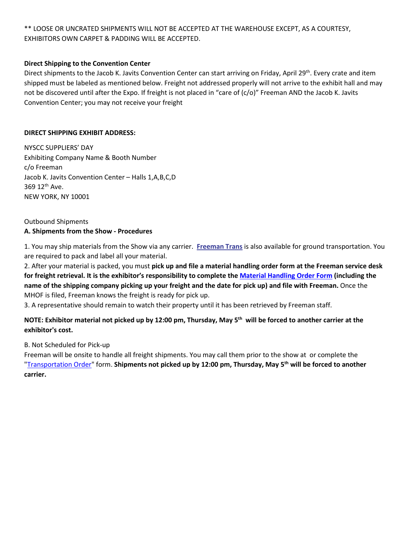\*\* LOOSE OR UNCRATED SHIPMENTS WILL NOT BE ACCEPTED AT THE WAREHOUSE EXCEPT, AS A COURTESY, EXHIBITORS OWN CARPET & PADDING WILL BE ACCEPTED.

# **Direct Shipping to the Convention Center**

Direct shipments to the Jacob K. Javits Convention Center can start arriving on Friday, April 29th. Every crate and item shipped must be labeled as mentioned below. Freight not addressed properly will not arrive to the exhibit hall and may not be discovered until after the Expo. If freight is not placed in "care of (c/o)" Freeman AND the Jacob K. Javits Convention Center; you may not receive your freight

# **DIRECT SHIPPING EXHIBIT ADDRESS:**

NYSCC SUPPLIERS' DAY Exhibiting Company Name & Booth Number c/o Freeman Jacob K. Javits Convention Center – Halls 1,A,B,C,D 369 12th Ave. NEW YORK, NY 10001

# Outbound Shipments **A. Shipments from the Show - Procedures**

1. You may ship materials from the Show via any carrier. **[Freeman Trans](https://www.freemanco.com/store/show/landing?referer=s&nav=02&showID=511874)** is also available for ground transportation. You are required to pack and label all your material.

2. After your material is packed, you must **pick up and file a material handling order form at the Freeman service desk for freight retrieval. It is the exhibitor's responsibility to complete the [Material Handling Order Form](https://www.freemanco.com/store/show/landing?referer=s&nav=02&showID=511874) (including the name of the shipping company picking up your freight and the date for pick up) and file with Freeman.** Once the MHOF is filed, Freeman knows the freight is ready for pick up.

3. A representative should remain to watch their property until it has been retrieved by Freeman staff.

# **NOTE: Exhibitor material not picked up by 12:00 pm, Thursday, May 5th will be forced to another carrier at the exhibitor's cost.**

B. Not Scheduled for Pick-up

Freeman will be onsite to handle all freight shipments. You may call them prior to the show at or complete the ["Transportation Order"](https://www.freemanco.com/store/show/landing?referer=s&nav=02&showID=511874) form. **Shipments not picked up by 12:00 pm, Thursday, May 5th will be forced to another carrier.**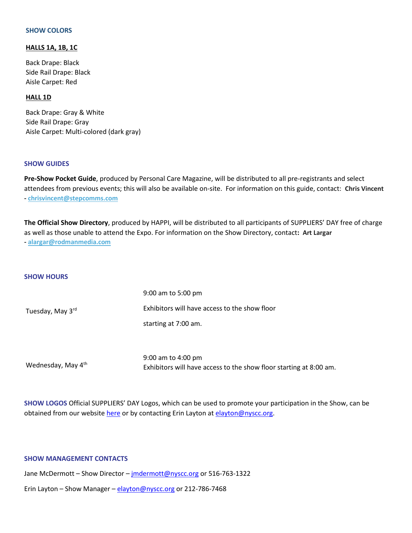#### **SHOW COLORS**

## **HALLS 1A, 1B, 1C**

Back Drape: Black Side Rail Drape: Black Aisle Carpet: Red

#### **HALL 1D**

Back Drape: Gray & White Side Rail Drape: Gray Aisle Carpet: Multi-colored (dark gray)

#### **SHOW GUIDES**

**Pre-Show Pocket Guide**, produced by Personal Care Magazine, will be distributed to all pre-registrants and select attendees from previous events; this will also be available on-site. For information on this guide, contact: **Chris Vincent - [chrisvincent@stepcomms.com](mailto:chrisvincent@stepcomms.com)**

**The Official Show Directory**, produced by HAPPI, will be distributed to all participants of SUPPLIERS' DAY free of charge as well as those unable to attend the Expo. For information on the Show Directory, contact**: Art Largar - [alargar@rodmanmedia.com](mailto:alargar@rodmanmedia.com)**

#### **SHOW HOURS**

| Tuesday, May 3rd | 9:00 am to 5:00 pm                            |
|------------------|-----------------------------------------------|
|                  | Exhibitors will have access to the show floor |
|                  | starting at 7:00 am.                          |
|                  |                                               |
|                  |                                               |

Wednesday, May 4<sup>th</sup>

9:00 am to 4:00 pm Exhibitors will have access to the show floor starting at 8:00 am.

**SHOW LOGOS** Official SUPPLIERS' DAY Logos, which can be used to promote your participation in the Show, can be obtained from our website [here](https://nyscc.org/suppliers-day/exhibitor-badges-2022/) or by contacting Erin Layton at [elayton@nyscc.org.](mailto:elayton@nyscc.org)

#### **[SHOW MANAGEMENT CONTACTS](http://www.franchiseexposouth.com/setupmanual/ContactUs.htm)**

Jane McDermott - Show Director - imdermott@nyscc.org or 516-763-1322

Erin Layton – Show Manager – [elayton@nyscc.org](mailto:elayton@nyscc.org) or 212-786-7468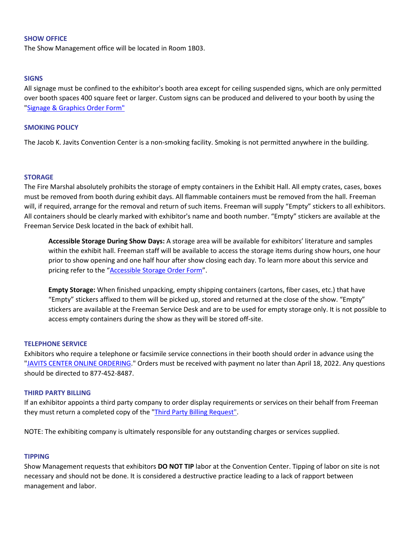## **SHOW OFFICE**

The Show Management office will be located in Room 1B03.

### **SIGNS**

All signage must be confined to the exhibitor's booth area except for ceiling suspended signs, which are only permitted over booth spaces 400 square feet or larger. Custom signs can be produced and delivered to your booth by using the ["Signage & Graphics Order Form"](https://www.freemanco.com/store/show/landing?referer=s&nav=02&showID=511874)

### **SMOKING POLICY**

The Jacob K. Javits Convention Center is a non-smoking facility. Smoking is not permitted anywhere in the building.

## **STORAGE**

The Fire Marshal absolutely prohibits the storage of empty containers in the Exhibit Hall. All empty crates, cases, boxes must be removed from booth during exhibit days. All flammable containers must be removed from the hall. Freeman will, if required, arrange for the removal and return of such items. Freeman will supply "Empty" stickers to all exhibitors. All containers should be clearly marked with exhibitor's name and booth number. "Empty" stickers are available at the Freeman Service Desk located in the back of exhibit hall.

**Accessible Storage During Show Days:** A storage area will be available for exhibitors' literature and samples within the exhibit hall. Freeman staff will be available to access the storage items during show hours, one hour prior to show opening and one half hour after show closing each day. To learn more about this service and pricing refer to the ["Accessible Storage Order Form"](https://www.freemanco.com/store/show/landing?referer=s&nav=02&showID=511874).

**Empty Storage:** When finished unpacking, empty shipping containers (cartons, fiber cases, etc.) that have "Empty" stickers affixed to them will be picked up, stored and returned at the close of the show. "Empty" stickers are available at the Freeman Service Desk and are to be used for empty storage only. It is not possible to access empty containers during the show as they will be stored off-site.

# **TELEPHONE SERVICE**

Exhibitors who require a telephone or facsimile service connections in their booth should order in advance using the ["JAVITS CENTER ONLINE ORDERING.](https://nyscc.org/wp-content/uploads/2022/01/Javits-Center-Online-Ordering.pdf)" Orders must be received with payment no later than April 18, 2022. Any questions should be directed to 877-452-8487.

#### **THIRD PARTY BILLING**

If an exhibitor appoints a third party company to order display requirements or services on their behalf from Freeman they must return a completed copy of the ["Third Party Billing Request"](https://www.freemanco.com/store/show/landing?referer=s&nav=02&showID=511874).

NOTE: The exhibiting company is ultimately responsible for any outstanding charges or services supplied.

#### **TIPPING**

Show Management requests that exhibitors **DO NOT TIP** labor at the Convention Center. Tipping of labor on site is not necessary and should not be done. It is considered a destructive practice leading to a lack of rapport between management and labor.